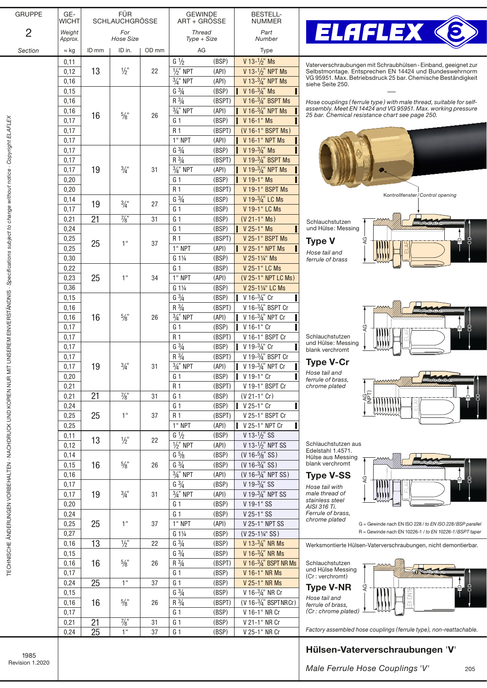| <b>GRUPPE</b>                                                                                    | GE-<br><b>WICHT</b>  | FÜR<br>SCHLAUCHGRÖSSE |                  |               | <b>GEWINDE</b><br>ART + GRÖSSE   |                 | <b>BESTELL-</b><br><b>NUMMER</b>           |                                                                                                                          |
|--------------------------------------------------------------------------------------------------|----------------------|-----------------------|------------------|---------------|----------------------------------|-----------------|--------------------------------------------|--------------------------------------------------------------------------------------------------------------------------|
| $\overline{2}$                                                                                   | Weight               | For                   |                  | <b>Thread</b> |                                  | Part            | <b>ELAFLEX</b>                             |                                                                                                                          |
|                                                                                                  | Approx.              |                       | <b>Hose Size</b> |               |                                  | $Type + Size$   | Number                                     |                                                                                                                          |
| Section                                                                                          | $\approx$ kg<br>0,11 | ID mm                 | ID in.           | OD mm         | $G\frac{1}{2}$                   | AG<br>(BSP)     | Type<br>V 13- $\frac{1}{2}$ " Ms           |                                                                                                                          |
|                                                                                                  | 0,12                 | 13                    | $\frac{1}{2}$ "  | 22            | $\frac{1}{2}$ " NPT              | (API)           | V 13-1/2" NPT Ms                           | Vaterverschraubungen mit Schraubhülsen - Einband, geeignet zur<br>Selbstmontage. Entsprechen EN 14424 und Bundeswehrnorm |
|                                                                                                  | 0,16                 |                       |                  |               | $\frac{3}{4}$ " NPT              | (API)           | V 13-3/4" NPT Ms                           | VG 95951. Max. Betriebsdruck 25 bar. Chemische Beständigkeit<br>siehe Seite 250.                                         |
|                                                                                                  | 0,15                 |                       |                  |               | $G\frac{3}{4}$                   | (BSP)           | V 16- $\frac{3}{4}$ " Ms                   |                                                                                                                          |
|                                                                                                  | 0,16                 |                       |                  |               | $R \frac{3}{4}$                  | (BSPT)          | V 16-3/4" BSPT Ms                          | Hose couplings (ferrule type) with male thread, suitable for self-                                                       |
|                                                                                                  | 0,16                 | 16                    | $5/8$ "          | 26            | $\frac{3}{4}$ " NPT              | (API)           | V 16-3/4" NPT Ms                           | assembly. Meet EN 14424 and VG 95951. Max. working pressure<br>25 bar. Chemical resistance chart see page 250.           |
|                                                                                                  | 0,17                 |                       |                  |               | G <sub>1</sub><br>R <sub>1</sub> | (BSP)           | V 16-1" Ms                                 |                                                                                                                          |
|                                                                                                  | 0,17<br>0,17         |                       |                  |               | 1" NPT                           | (BSPT)<br>(API) | (V 16-1" BSPT Ms)<br><b>V 16-1" NPT Ms</b> |                                                                                                                          |
|                                                                                                  | 0,17                 |                       |                  |               | $G\frac{3}{4}$                   | (BSP)           | V 19-3/4" Ms                               |                                                                                                                          |
| MIT UNSEREM EINVERSTÄNDNIS - Specifications subject to change without notice - Copyright ELAFLEX | 0,17                 |                       |                  |               | $R \frac{3}{4}$                  | (BSPT)          | V 19-3/4" BSPT Ms                          |                                                                                                                          |
|                                                                                                  | 0,17                 | 19                    | $\frac{3}{4}$ "  | 31            | $3/4$ " NPT                      | (API)           | V 19-3/4" NPT Ms                           |                                                                                                                          |
|                                                                                                  | 0,20                 |                       |                  |               | G <sub>1</sub>                   | (BSP)           | V 19-1" Ms                                 |                                                                                                                          |
|                                                                                                  | 0,20                 |                       |                  |               | R <sub>1</sub>                   | (BSPT)          | V 19-1" BSPT Ms                            | Kontrollfenster/Control opening                                                                                          |
|                                                                                                  | 0,14                 | 19                    | $\frac{3}{4}$ "  | 27            | $G\frac{3}{4}$                   | (BSP)           | V 19-3/4" LC Ms                            |                                                                                                                          |
|                                                                                                  | 0,17<br>0,21         | 21                    | $\frac{7}{8}$    | 31            | G <sub>1</sub><br>G <sub>1</sub> | (BSP)<br>(BSP)  | V 19-1" LC Ms<br>$(V 21-1" MS)$            |                                                                                                                          |
|                                                                                                  | 0,24                 |                       |                  |               | G <sub>1</sub>                   | (BSP)           | V 25-1" Ms                                 | Schlauchstutzen<br>und Hülse: Messing                                                                                    |
|                                                                                                  | 0,25                 |                       |                  |               | R 1                              | (BSPT)          | V 25-1" BSPT Ms                            | Q<br>8                                                                                                                   |
|                                                                                                  | 0,25                 | 25                    | 1"               | 37            | 1" NPT                           | (API)           | V 25-1" NPT Ms                             | <b>Type V</b>                                                                                                            |
|                                                                                                  | 0,30                 |                       |                  |               | G 11/4                           | (BSP)           | V 25-11/4" Ms                              | Hose tail and<br>ferrule of brass                                                                                        |
|                                                                                                  | 0,22                 |                       |                  |               | G <sub>1</sub>                   | (BSP)           | V 25-1" LC Ms                              |                                                                                                                          |
|                                                                                                  | 0,23                 | 25                    | 1"               | 34            | 1" NPT                           | (API)           | (V 25-1" NPT LC Ms)                        |                                                                                                                          |
|                                                                                                  | 0,36                 |                       |                  |               | G 11/4                           | (BSP)           | V 25-11/4" LC Ms                           |                                                                                                                          |
|                                                                                                  | 0,15<br>0, 16        |                       |                  |               | $G\frac{3}{4}$<br>$R\frac{3}{4}$ | (BSP)<br>(BSPT) | V 16-3/4" Cr<br>V 16-3/4" BSPT Cr          |                                                                                                                          |
|                                                                                                  | 0, 16                | 16                    | $\frac{5}{8}$ "  | 26            | $\frac{3}{4}$ " NPT              | (API)           | V 16-3/4" NPT Cr                           |                                                                                                                          |
|                                                                                                  | 0,17                 |                       |                  |               | G <sub>1</sub>                   | (BSP)           | V 16-1" Cr                                 | AG                                                                                                                       |
|                                                                                                  | 0,17                 |                       |                  |               | R 1                              | (BSPT)          | V 16-1" BSPT Cr                            | Schlauchstutzen                                                                                                          |
|                                                                                                  | 0,17                 |                       |                  |               | $G\frac{3}{4}$                   | (BSP)           | V 19-3/4" Cr                               | und Hülse: Messing<br>blank verchromt                                                                                    |
|                                                                                                  | 0,17                 |                       |                  |               | $R\frac{3}{4}$                   | (BSPT)          | V 19-3/4" BSPT Cr                          | <b>Type V-Cr</b>                                                                                                         |
|                                                                                                  | 0,17                 | 19                    | $\frac{3}{4}$ "  | 31            | $3/4$ " NPT                      | (API)           | V 19-3/4" NPT Cr                           | Hose tail and                                                                                                            |
|                                                                                                  | 0,20                 |                       |                  |               | G <sub>1</sub>                   |                 | (BSP)   V 19-1" Cr                         | ferrule of brass,<br><b>HIPAPA BABAHAHAHAHAHA</b><br><i>WWW.Www.com</i>                                                  |
|                                                                                                  | 0,21<br>0,21         | 21                    | $\frac{7}{8}$    | 31            | R <sub>1</sub><br>G <sub>1</sub> | (BSPT)<br>(BSP) | V 19-1" BSPT Cr<br>$(V 21-1" Cr)$          | chrome plated                                                                                                            |
|                                                                                                  | 0,24                 |                       |                  |               | G <sub>1</sub>                   | (BSP)           | V 25-1" Cr                                 | <b>PORT</b><br>9<br>e                                                                                                    |
|                                                                                                  | 0,25                 | 25                    | 1"               | 37            | R 1                              | (BSPT)          | V 25-1" BSPT Cr                            | ,,,,,,,,,                                                                                                                |
|                                                                                                  | 0,25                 |                       |                  |               | 1" NPT                           | (API)           | V 25-1" NPT Cr                             |                                                                                                                          |
|                                                                                                  | 0,11                 | 13                    | $1/2$ "          | 22            | $G\frac{1}{2}$                   | (BSP)           | V 13- $\frac{1}{2}$ " SS                   |                                                                                                                          |
|                                                                                                  | 0,12                 |                       |                  |               | $\frac{1}{2}$ " NPT              | (API)           | V 13-1/2" NPT SS                           | Schlauchstutzen aus<br>Edelstahl 1.4571.                                                                                 |
| TECHNISCHE ÄNDER UNGEN VORBEHALTEN · NACHDRUCK UND KOPIEN NUR                                    | 0,14                 |                       |                  |               | $G\frac{5}{8}$                   | (BSP)           | $(V 16-5/8" SS)$                           | Hülse aus Messing<br>blank verchromt                                                                                     |
|                                                                                                  | 0,15<br>0, 16        | 16                    | $5/8$ "          | 26            | $G\frac{3}{4}$<br>$3/4$ " NPT    | (BSP)<br>(API)  | $(V 16-3/4" SS)$<br>(V 16-3/4" NPT SS)     |                                                                                                                          |
|                                                                                                  | 0,17                 |                       |                  |               | $G\frac{3}{4}$                   | (BSP)           | V 19-3/4" SS                               | <b>Type V-SS</b><br>AG<br>S<br>Hose tail with                                                                            |
|                                                                                                  | 0,17                 | 19                    | $\frac{3}{4}$ "  | 31            | 3/4" NPT                         | (API)           | V 19-3/4" NPT SS                           | male thread of                                                                                                           |
|                                                                                                  | 0,20                 |                       |                  |               | G <sub>1</sub>                   | (BSP)           | V 19-1" SS                                 | stainless steel<br>AISI 316 Ti.                                                                                          |
|                                                                                                  | 0,24                 |                       |                  |               | G <sub>1</sub>                   | (BSP)           | V 25-1" SS                                 | Ferrule of brass,                                                                                                        |
|                                                                                                  | 0,25                 | 25                    | 1"               | 37            | 1" NPT                           | (API)           | <b>V 25-1" NPT SS</b>                      | chrome plated<br>G = Gewinde nach EN ISO 228 / to EN ISO 228/BSP paralle                                                 |
|                                                                                                  | 0,27                 |                       |                  |               | $G1\frac{1}{4}$                  | (BSP)           | (V 25-11/4" SS)                            | R = Gewinde nach EN 10226-1 / to EN 10226-1/BSPT taper                                                                   |
|                                                                                                  | 0,16<br>0,15         | 13                    | $\frac{1}{2}$    | 22            | $G\frac{3}{4}$<br>$G\frac{3}{4}$ | (BSP)<br>(BSP)  | V 13-3/4" NR Ms<br>V 16-3/4" NR Ms         | Werksmontierte Hülsen-Vaterverschraubungen, nicht demontierbar.                                                          |
|                                                                                                  | 0, 16                | 16                    | $\frac{5}{8}$ "  | 26            | $R \frac{3}{4}$                  | (BSPT)          | V 16-3/4" BSPT NR Ms                       | Schlauchstutzen                                                                                                          |
|                                                                                                  | 0,17                 |                       |                  |               | G <sub>1</sub>                   | (BSP)           | V 16-1" NR Ms                              | und Hülse Messing                                                                                                        |
|                                                                                                  | 0,24                 | 25                    | 1"               | 37            | G <sub>1</sub>                   | (BSP)           | V 25-1" NR Ms                              | (Cr: verchromt)                                                                                                          |
|                                                                                                  | 0,15                 |                       |                  |               | $G\frac{3}{4}$                   | (BSP)           | V 16-3/4" NR Cr                            | <b>Type V-NR</b><br>Q<br>$\frac{1}{2}$<br>⊾                                                                              |
|                                                                                                  | 0, 16                | 16                    | $5/8$ "          | 26            | $R^{3}/4$                        | (BSPT)          | (V 16-3/4" BSPT NRCr)                      | Hose tail and<br>ferrule of brass,                                                                                       |
|                                                                                                  | 0,17                 |                       |                  |               | G <sub>1</sub>                   | (BSP)           | V 16-1" NR Cr                              | (Cr: chrome plated)                                                                                                      |
|                                                                                                  | 0,21                 | 21                    | $\frac{7}{8}$ "  | 31            | G <sub>1</sub>                   | (BSP)           | V 21-1" NR Cr                              | Factory assembled hose couplings (ferrule type), non-reattachable.                                                       |
|                                                                                                  | 0,24                 | 25                    | 1"               | 37            | G <sub>1</sub>                   | (BSP)           | V 25-1" NR Cr                              |                                                                                                                          |
| 1985                                                                                             |                      |                       |                  |               |                                  |                 |                                            | Hülsen-Vaterverschraubungen 'V'                                                                                          |

205

*Male Ferrule Hose Couplings 'V'*